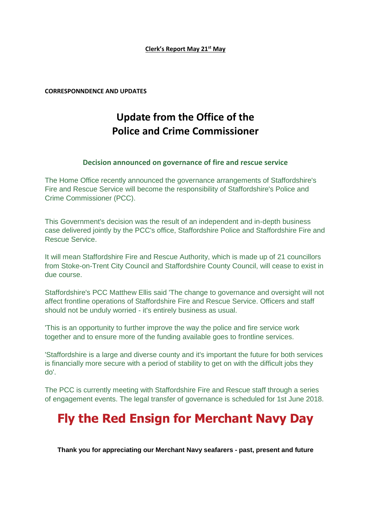## **Clerk's Report May 21st May**

**CORRESPONNDENCE AND UPDATES**

## **Update from the Office of the Police and Crime Commissioner**

## **Decision announced on governance of fire and rescue service**

The Home Office recently announced the governance arrangements of Staffordshire's Fire and Rescue Service will become the responsibility of Staffordshire's Police and Crime Commissioner (PCC).

This Government's decision was the result of an independent and in-depth business case delivered jointly by the PCC's office, Staffordshire Police and Staffordshire Fire and Rescue Service.

It will mean Staffordshire Fire and Rescue Authority, which is made up of 21 councillors from Stoke-on-Trent City Council and Staffordshire County Council, will cease to exist in due course.

Staffordshire's PCC Matthew Ellis said 'The change to governance and oversight will not affect frontline operations of Staffordshire Fire and Rescue Service. Officers and staff should not be unduly worried - it's entirely business as usual.

'This is an opportunity to further improve the way the police and fire service work together and to ensure more of the funding available goes to frontline services.

'Staffordshire is a large and diverse county and it's important the future for both services is financially more secure with a period of stability to get on with the difficult jobs they do'.

The PCC is currently meeting with Staffordshire Fire and Rescue staff through a series of engagement events. The legal transfer of governance is scheduled for 1st June 2018.

# **Fly the Red Ensign for Merchant Navy Day**

**Thank you for appreciating our Merchant Navy seafarers - past, present and future**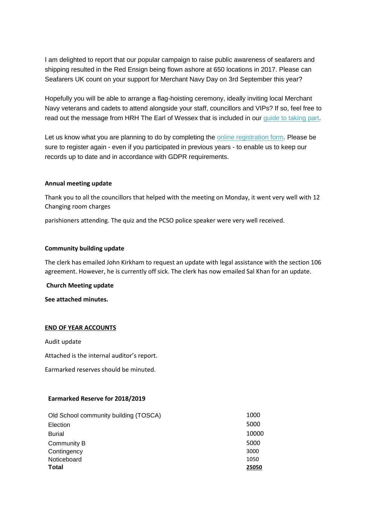I am delighted to report that our popular campaign to raise public awareness of seafarers and shipping resulted in the Red Ensign being flown ashore at 650 locations in 2017. Please can Seafarers UK count on your support for Merchant Navy Day on 3rd September this year?

Hopefully you will be able to arrange a flag-hoisting ceremony, ideally inviting local Merchant Navy veterans and cadets to attend alongside your staff, councillors and VIPs? If so, feel free to read out the message from HRH The Earl of Wessex that is included in our [guide to taking part.](http://seafarersuk.cmail19.com/t/i-l-bttlulk-skyutwuj-r/)

Let us know what you are planning to do by completing the [online registration form.](http://seafarersuk.cmail19.com/t/i-l-bttlulk-skyutwuj-y/) Please be sure to register again - even if you participated in previous years - to enable us to keep our records up to date and in accordance with GDPR requirements.

## **Annual meeting update**

Thank you to all the councillors that helped with the meeting on Monday, it went very well with 12 Changing room charges

parishioners attending. The quiz and the PCSO police speaker were very well received.

#### **Community building update**

The clerk has emailed John Kirkham to request an update with legal assistance with the section 106 agreement. However, he is currently off sick. The clerk has now emailed Sal Khan for an update.

**Church Meeting update**

**See attached minutes.**

#### **END OF YEAR ACCOUNTS**

Audit update

Attached is the internal auditor's report.

Earmarked reserves should be minuted.

## **Earmarked Reserve for 2018/2019**

| Old School community building (TOSCA) | 1000  |
|---------------------------------------|-------|
| Election                              | 5000  |
| <b>Burial</b>                         | 10000 |
| Community B                           | 5000  |
| Contingency                           | 3000  |
| Noticeboard                           | 1050  |
| <b>Total</b>                          | 25050 |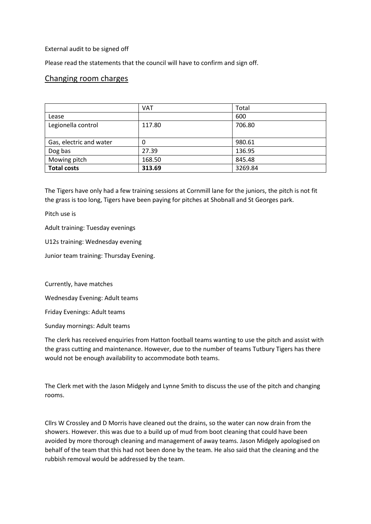External audit to be signed off

Please read the statements that the council will have to confirm and sign off.

## Changing room charges

|                         | <b>VAT</b> | Total   |
|-------------------------|------------|---------|
| Lease                   |            | 600     |
| Legionella control      | 117.80     | 706.80  |
|                         |            |         |
| Gas, electric and water | 0          | 980.61  |
| Dog bas                 | 27.39      | 136.95  |
| Mowing pitch            | 168.50     | 845.48  |
| <b>Total costs</b>      | 313.69     | 3269.84 |

The Tigers have only had a few training sessions at Cornmill lane for the juniors, the pitch is not fit the grass is too long, Tigers have been paying for pitches at Shobnall and St Georges park.

Pitch use is

Adult training: Tuesday evenings

U12s training: Wednesday evening

Junior team training: Thursday Evening.

Currently, have matches

Wednesday Evening: Adult teams

Friday Evenings: Adult teams

Sunday mornings: Adult teams

The clerk has received enquiries from Hatton football teams wanting to use the pitch and assist with the grass cutting and maintenance. However, due to the number of teams Tutbury Tigers has there would not be enough availability to accommodate both teams.

The Clerk met with the Jason Midgely and Lynne Smith to discuss the use of the pitch and changing rooms.

Cllrs W Crossley and D Morris have cleaned out the drains, so the water can now drain from the showers. However. this was due to a build up of mud from boot cleaning that could have been avoided by more thorough cleaning and management of away teams. Jason Midgely apologised on behalf of the team that this had not been done by the team. He also said that the cleaning and the rubbish removal would be addressed by the team.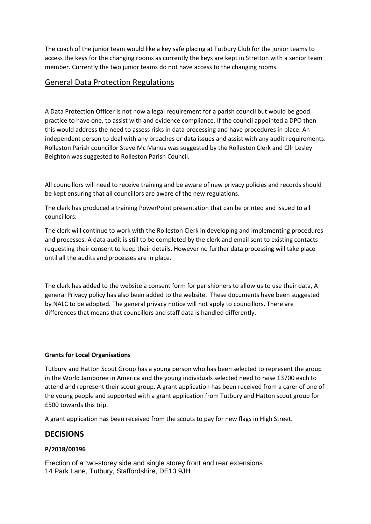The coach of the junior team would like a key safe placing at Tutbury Club for the junior teams to access the keys for the changing rooms as currently the keys are kept in Stretton with a senior team member. Currently the two junior teams do not have access to the changing rooms.

## General Data Protection Regulations

A Data Protection Officer is not now a legal requirement for a parish council but would be good practice to have one, to assist with and evidence compliance. If the council appointed a DPO then this would address the need to assess risks in data processing and have procedures in place. An independent person to deal with any breaches or data issues and assist with any audit requirements. Rolleston Parish councillor Steve Mc Manus was suggested by the Rolleston Clerk and Cllr Lesley Beighton was suggested to Rolleston Parish Council.

All councillors will need to receive training and be aware of new privacy policies and records should be kept ensuring that all councillors are aware of the new regulations.

The clerk has produced a training PowerPoint presentation that can be printed and issued to all councillors.

The clerk will continue to work with the Rolleston Clerk in developing and implementing procedures and processes. A data audit is still to be completed by the clerk and email sent to existing contacts requesting their consent to keep their details. However no further data processing will take place until all the audits and processes are in place.

The clerk has added to the website a consent form for parishioners to allow us to use their data, A general Privacy policy has also been added to the website. These documents have been suggested by NALC to be adopted. The general privacy notice will not apply to councillors. There are differences that means that councillors and staff data is handled differently.

## **Grants for Local Organisations**

Tutbury and Hatton Scout Group has a young person who has been selected to represent the group in the World Jamboree in America and the young individuals selected need to raise £3700 each to attend and represent their scout group. A grant application has been received from a carer of one of the young people and supported with a grant application from Tutbury and Hatton scout group for £500 towards this trip.

A grant application has been received from the scouts to pay for new flags in High Street.

## **DECISIONS**

## **P/2018/00196**

Erection of a two-storey side and single storey front and rear extensions 14 Park Lane, Tutbury, Staffordshire, DE13 9JH